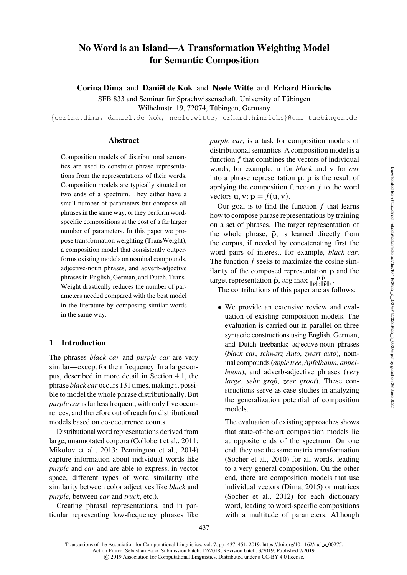# No Word is an Island—A Transformation Weighting Model for Semantic Composition

Corina Dima and Daniël de Kok and Neele Witte and Erhard Hinrichs

SFB 833 and Seminar für Sprachwissenschaft, University of Tübingen

Wilhelmstr. 19, 72074, Tübingen, Germany

{corina.dima, daniel.de-kok, neele.witte, erhard.hinrichs}@uni-tuebingen.de

## **Abstract**

Composition models of distributional semantics are used to construct phrase representations from the representations of their words. Composition models are typically situated on two ends of a spectrum. They either have a small number of parameters but compose all phrases in the same way, or they perform wordspecific compositions at the cost of a far larger number of parameters. In this paper we propose transformation weighting (TransWeight), a composition model that consistently outperforms existing models on nominal compounds, adjective-noun phrases, and adverb-adjective phrases in English, German, and Dutch. Trans-Weight drastically reduces the number of parameters needed compared with the best model in the literature by composing similar words in the same way.

## <span id="page-0-0"></span>1 Introduction

The phrases *black car* and *purple car* are very similar—except for their frequency. In a large corpus, described in more detail in Section [4.1,](#page-5-0) the phrase *black car* occurs 131 times, making it possible to model the whole phrase distributionally. But *purple car* is far less frequent, with only five occurrences, and therefore out of reach for distributional models based on co-occurrence counts.

Distributional word representations derived from large, unannotated corpora [\(Collobert et al.](#page-12-0), [2011](#page-12-0); [Mikolov et al.](#page-13-0), [2013](#page-13-0); [Pennington et al., 2014\)](#page-13-1) capture information about individual words like *purple* and *car* and are able to express, in vector space, different types of word similarity (the similarity between color adjectives like *black* and *purple*, between *car* and *truck*, etc.).

Creating phrasal representations, and in particular representing low-frequency phrases like *purple car*, is a task for composition models of distributional semantics. A composition model is a function  $f$  that combines the vectors of individual words, for example, **u** for *black* and **v** for *car* into a phrase representation **p**. **p** is the result of applying the composition function  $f$  to the word vectors  $\mathbf{u}, \mathbf{v}; \mathbf{p} = f(\mathbf{u}, \mathbf{v}).$ 

Our goal is to find the function  $f$  that learns how to compose phrase representations by training on a set of phrases. The target representation of the whole phrase,  $\tilde{p}$ , is learned directly from the corpus, if needed by concatenating first the word pairs of interest, for example, *black car*. The function f seeks to maximize the cosine similarity of the composed representation **p** and the target representation  $\tilde{\mathbf{p}}$ , arg max  $\frac{\mathbf{p} \cdot \tilde{\mathbf{p}}}{\|\mathbf{p}\|_2 \|\tilde{\mathbf{p}}\|_2}$ .

The contributions of this paper are as follows:

• We provide an extensive review and evaluation of existing composition models. The evaluation is carried out in parallel on three syntactic constructions using English, German, and Dutch treebanks: adjective-noun phrases (*black car*, *schwarz Auto*, *zwart auto*), nominal compounds (*apple tree*, *Apfelbaum*, *appelboom*), and adverb-adjective phrases (*very large*, *sehr groß*, *zeer groot*). These constructions serve as case studies in analyzing the generalization potential of composition models.

The evaluation of existing approaches shows that state-of-the-art composition models lie at opposite ends of the spectrum. On one end, they use the same matrix transformation [\(Socher et al.](#page-13-2), [2010](#page-13-2)) for all words, leading to a very general composition. On the other end, there are composition models that use individual vectors [\(Dima](#page-12-1), [2015\)](#page-12-1) or matrices [\(Socher et al.](#page-13-3), [2012](#page-13-3)) for each dictionary word, leading to word-specific compositions with a multitude of parameters. Although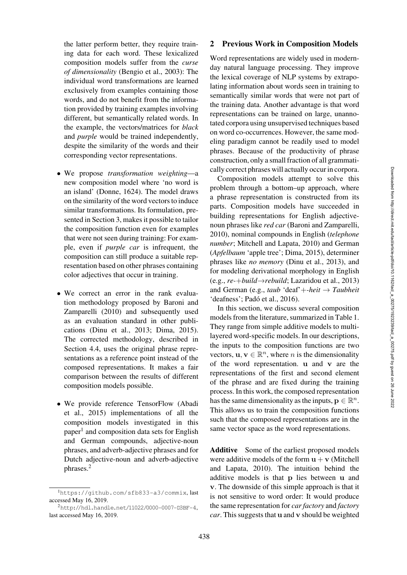the latter perform better, they require training data for each word. These lexicalized composition models suffer from the *curse of dimensionality* [\(Bengio et al., 2003](#page-12-2)): The individual word transformations are learned exclusively from examples containing those words, and do not benefit from the information provided by training examples involving different, but semantically related words. In the example, the vectors/matrices for *black* and *purple* would be trained independently, despite the similarity of the words and their corresponding vector representations.

- We propose *transformation weighting*—a new composition model where 'no word is an island' [\(Donne](#page-12-3), [1624](#page-12-3)). The model draws on the similarity of the word vectors to induce similar transformations. Its formulation, presented in Section [3,](#page-3-0) makes it possible to tailor the composition function even for examples that were not seen during training: For example, even if *purple car* is infrequent, the composition can still produce a suitable representation based on other phrases containing color adjectives that occur in training.
- We correct an error in the rank evaluation meth[odology proposed by](#page-12-4) Baroni and Zamparelli [\(2010](#page-12-4)) and subsequently used as an evaluation standard in other publications [\(Dinu et al.](#page-12-5), [2013](#page-12-5); [Dima, 2015\)](#page-12-1). The corrected methodology, described in Section [4.4,](#page-7-0) uses the original phrase representations as a reference point instead of the composed representations. It makes a fair comparison between the results of different composition models possible.
- We [provide reference TensorFlow \(](#page-12-6)Abadi et al., [2015](#page-12-6)) implementations of all the composition models investigated in this  $paper<sup>1</sup>$  and composition data sets for English and German compounds, adjective-noun phrases, and adverb-adjective phrases and for Dutch adjective-noun and adverb-adjective phrases.[2](#page-1-1)

#### <span id="page-1-2"></span>2 Previous Work in Composition Models

Word representations are widely used in modernday natural language processing. They improve the lexical coverage of NLP systems by extrapolating information about words seen in training to semantically similar words that were not part of the training data. Another advantage is that word representations can be trained on large, unannotated corpora using unsupervised techniques based on word co-occurrences. However, the same modeling paradigm cannot be readily used to model phrases. Because of the productivity of phrase construction, only a small fraction of all grammatically correct phrases will actually occur in corpora.

Composition models attempt to solve this problem through a bottom–up approach, where a phrase representation is constructed from its parts. Composition models have succeeded in building representations for English adjectivenoun phrases like *red car* [\(Baroni and Zamparelli,](#page-12-4) [2010](#page-12-4)), nominal compounds in English (*telephone number*; [Mitchell and Lapata, 2010](#page-13-4)) and German (*Apfelbaum* 'apple tree'; [Dima, 2015\)](#page-12-1), determiner phrases like *no memory* [\(Dinu et al., 2013](#page-12-5)), and for modeling derivational morphology in English (e.g., *re-*+*build*→*rebuild*; [Lazaridou et al.](#page-13-5), [2013\)](#page-13-5) and German (e.g., *taub* 'deaf'+*-heit* → *Taubheit* 'deafness'; Padó et al., [2016\)](#page-13-6).

In this section, we discuss several composition models from the literature, summarized in [Table 1.](#page-2-0) They range from simple additive models to multilayered word-specific models. In our descriptions, the inputs to the composition functions are two vectors,  $\mathbf{u}, \mathbf{v} \in \mathbb{R}^n$ , where *n* is the dimensionality of the word representation. **u** and **v** are the representations of the first and second element of the phrase and are fixed during the training process. In this work, the composed representation has the same dimensionality as the inputs,  $\mathbf{p} \in \mathbb{R}^n$ . This allows us to train the composition functions such that the composed representations are in the same vector space as the word representations.

Additive Some of the earliest proposed models were additi[ve models of the form](#page-13-4)  $\mathbf{u} + \mathbf{v}$  (Mitchell and Lapata, [2010](#page-13-4)). The intuition behind the additive models is that **p** lies between **u** and **v**. The downside of this simple approach is that it is not sensitive to word order: It would produce the same representation for *car factory* and *factory car*. This suggests that **u** and **v** should be weighted

<span id="page-1-0"></span><sup>1</sup><https://github.com/sfb833-a3/commix>, last accessed May 16, 2019.

<span id="page-1-1"></span><sup>2</sup><http://hdl.handle.net/11022/0000-0007-D3BF-4>, last accessed May 16, 2019.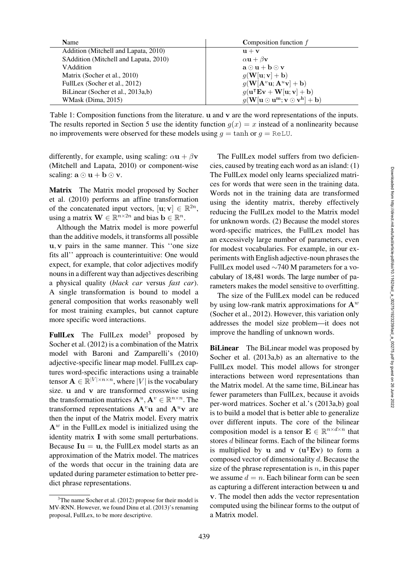| Name                                  | <b>Composition function <math>f</math></b>                                                                       |
|---------------------------------------|------------------------------------------------------------------------------------------------------------------|
| Addition (Mitchell and Lapata, 2010)  | $u + v$                                                                                                          |
| SAddition (Mitchell and Lapata, 2010) | $\alpha \mathbf{u} + \beta \mathbf{v}$                                                                           |
| VAddition                             | $a \odot u + b \odot v$                                                                                          |
| Matrix (Socher et al., 2010)          | $g(\mathbf{W}[\mathbf{u};\mathbf{v}]+\mathbf{b})$                                                                |
| FullLex (Socher et al., 2012)         | $g(\mathbf{W}[\mathbf{A}^v\mathbf{u};\mathbf{A}^u\mathbf{v}]+\mathbf{b})$                                        |
| BiLinear (Socher et al., 2013a,b)     | $g(\mathbf{u}^\intercal \mathbf{E} \mathbf{v} + \mathbf{W}[\mathbf{u}; \mathbf{v}] + \mathbf{b})$                |
| WMask (Dima, $2015$ )                 | $g(\mathbf{W}[\mathbf{u} \odot \mathbf{u}^{\mathbf{m}}; \mathbf{v} \odot \mathbf{v}^{\mathbf{h}}] + \mathbf{b})$ |

<span id="page-2-0"></span>Table 1: Composition functions from the literature. **u** and **v** are the word representations of the inputs. The results reported in Section [5](#page-8-0) use the identity function  $g(x) = x$  instead of a nonlinearity because no improvements were observed for these models using  $g = \tanh$  or  $g = \text{ReLU}$ .

differently, for example, using scaling:  $\alpha \mathbf{u} + \beta \mathbf{v}$ [\(Mitchell and Lapata](#page-13-4), [2010](#page-13-4)) or component-wise scaling:  $\mathbf{a} \odot \mathbf{u} + \mathbf{b} \odot \mathbf{v}$ .

Matrix [The Matrix model proposed by](#page-13-2) Socher et al. [\(2010](#page-13-2)) performs an affine transformation of the concatenated input vectors,  $[\mathbf{u}; \mathbf{v}] \in \mathbb{R}^{2n}$ , using a matrix  $\mathbf{W} \in \mathbb{R}^{n \times 2n}$  and bias  $\mathbf{b} \in \mathbb{R}^n$ .

Although the Matrix model is more powerful than the additive models, it transforms all possible **u**, **v** pairs in the same manner. This ''one size fits all'' approach is counterintuitive: One would expect, for example, that color adjectives modify nouns in a different way than adjectives describing a physical quality (*black car* versus *fast car*). A single transformation is bound to model a general composition that works reasonably well for most training examples, but cannot capture more specific word interactions.

FullLex The FullLex model<sup>3</sup> proposed by [Socher et al.](#page-13-3) [\(2012\)](#page-13-3) is a combination of the Matrix model with Baroni and Zamparelli's [\(2010\)](#page-12-4) adjective-specific linear map model. FullLex captures word-specific interactions using a trainable tensor  $\mathbf{A} \in \mathbb{R}^{|V| \times n \times n}$ , where |V| is the vocabulary size. **u** and **v** are transformed crosswise using the transformation matrices  $A^u$ ,  $A^v \in \mathbb{R}^{n \times n}$ . The transformed representations  $A^v u$  and  $A^u v$  are then the input of the Matrix model. Every matrix  $A<sup>w</sup>$  in the FullLex model is initialized using the identity matrix **I** with some small perturbations. Because  $I$ **u** = **u**, the FullLex model starts as an approximation of the Matrix model. The matrices of the words that occur in the training data are updated during parameter estimation to better predict phrase representations.

The FullLex model suffers from two deficiencies, caused by treating each word as an island: (1) The FullLex model only learns specialized matrices for words that were seen in the training data. Words not in the training data are transformed using the identity matrix, thereby effectively reducing the FullLex model to the Matrix model for unknown words. (2) Because the model stores word-specific matrices, the FullLex model has an excessively large number of parameters, even for modest vocabularies. For example, in our experiments with English adjective-noun phrases the FullLex model used ∼740 M parameters for a vocabulary of 18,481 words. The large number of parameters makes the model sensitive to overfitting.

The size of the FullLex model can be reduced by using low-rank matrix approximations for **A**<sup>w</sup> [\(Socher et al., 2012\)](#page-13-3). However, this variation only addresses the model size problem—it does not improve the handling of unknown words.

**BiLinear** The BiLinear model was proposed by [Socher et al.](#page-13-7) [\(2013a](#page-13-7)[,b\)](#page-13-8) as an alternative to the FullLex model. This model allows for stronger interactions between word representations than the Matrix model. At the same time, BiLinear has fewer parameters than FullLex, because it avoids per-word matrices. Socher et al.'s (2013a,b) goal is to build a model that is better able to generalize over different inputs. The core of the bilinear composition model is a tensor  $\mathbf{E} \in \mathbb{R}^{n \times d \times n}$  that stores d bilinear forms. Each of the bilinear forms is multiplied by  $\bf{u}$  and  $\bf{v}$  ( $\bf{u}^\intercal \bf{E} \bf{v}$ ) to form a composed vector of dimensionality d. Because the size of the phrase representation is  $n$ , in this paper we assume  $d = n$ . Each bilinear form can be seen as capturing a different interaction between **u** and **v**. The model then adds the vector representation computed using the bilinear forms to the output of a Matrix model.

<span id="page-2-1"></span> $3$ The name [Socher et al.](#page-13-3) [\(2012](#page-13-3)) propose for their model is MV-RNN. However, we found [Dinu et al.](#page-12-5) [\(2013\)](#page-12-5)'s renaming proposal, FullLex, to be more descriptive.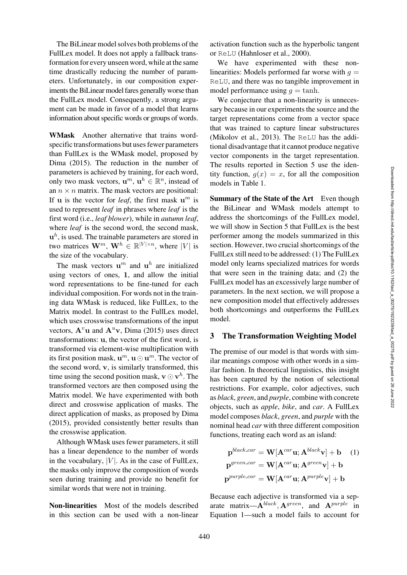The BiLinear model solves both problems of the FullLex model. It does not apply a fallback transformation for every unseen word, while at the same time drastically reducing the number of parameters. Unfortunately, in our composition experiments the BiLinear model fares generally worse than the FullLex model. Consequently, a strong argument can be made in favor of a model that learns information about specific words or groups of words.

WMask Another alternative that trains wordspecific transformations but uses fewer parameters than FullLex is the WMask model, proposed by [Dima](#page-12-1) [\(2015\)](#page-12-1). The reduction in the number of parameters is achieved by training, for each word, only two mask vectors,  $\mathbf{u}^m$ ,  $\mathbf{u}^h \in \mathbb{R}^n$ , instead of an  $n \times n$  matrix. The mask vectors are positional: If **u** is the vector for *leaf*, the first mask  $\mathbf{u}^m$  is used to represent *leaf* in phrases where *leaf* is the first word (i.e., *leaf blower*), while in *autumn leaf*, where *leaf* is the second word, the second mask,  $u<sup>h</sup>$ , is used. The trainable parameters are stored in two matrices  $\mathbf{W}^m$ ,  $\mathbf{W}^h \in \mathbb{R}^{|V| \times n}$ , where |V| is the size of the vocabulary.

The mask vectors  $\mathbf{u}^m$  and  $\mathbf{u}^h$  are initialized using vectors of ones, **1**, and allow the initial word representations to be fine-tuned for each individual composition. For words not in the training data WMask is reduced, like FullLex, to the Matrix model. In contrast to the FullLex model, which uses crosswise transformations of the input vectors,  $A^{\nu}$ **u** and  $A^{\nu}$ **v**, [Dima](#page-12-1) [\(2015\)](#page-12-1) uses direct transformations: **u**, the vector of the first word, is transformed via element-wise multiplication with its first position mask,  $\mathbf{u}^m$ ,  $\mathbf{u} \odot \mathbf{u}^m$ . The vector of the second word, **v**, is similarly transformed, this time using the second position mask,  $\mathbf{v} \odot \mathbf{v}^h$ . The transformed vectors are then composed using the Matrix model. We have experimented with both direct and crosswise application of masks. The direct application of masks, as proposed by [Dima](#page-12-1) [\(2015\)](#page-12-1), provided consistently better results than the crosswise application.

Although WMask uses fewer parameters, it still has a linear dependence to the number of words in the vocabulary,  $|V|$ . As in the case of FullLex, the masks only improve the composition of words seen during training and provide no benefit for similar words that were not in training.

Non-linearities Most of the models described in this section can be used with a non-linear activation function such as the hyperbolic tangent or ReLU [\(Hahnloser et al.](#page-12-7), [2000\)](#page-12-7).

We have experimented with these nonlinearities: Models performed far worse with  $q =$ ReLU, and there was no tangible improvement in model performance using  $q = \tanh$ .

We conjecture that a non-linearity is unnecessary because in our experiments the source and the target representations come from a vector space that was trained to capture linear substructures [\(Mikolov et al., 2013](#page-13-0)). The ReLU has the additional disadvantage that it cannot produce negative vector components in the target representation. The results reported in Section [5](#page-8-0) use the identity function,  $g(x) = x$ , for all the composition models in [Table 1.](#page-2-0)

Summary of the State of the Art Even though the BiLinear and WMask models attempt to address the shortcomings of the FullLex model, we will show in Section [5](#page-8-0) that FullLex is the best performer among the models summarized in this section. However, two crucial shortcomings of the FullLex still need to be addressed: (1) The FullLex model only learns specialized matrices for words that were seen in the training data; and (2) the FullLex model has an excessively large number of parameters. In the next section, we will propose a new composition model that effectively addresses both shortcomings and outperforms the FullLex model.

### <span id="page-3-0"></span>3 The Transformation Weighting Model

The premise of our model is that words with similar meanings compose with other words in a similar fashion. In theoretical linguistics, this insight has been captured by the notion of selectional restrictions. For example, color adjectives, such as *black*, *green*, and *purple*, combine with concrete objects, such as *apple*, *bike*, and *car*. A FullLex model composes *black*, *green*, and *purple* with the nominal head *car* with three different composition functions, treating each word as an island:

<span id="page-3-1"></span>
$$
\mathbf{p}^{black.car} = \mathbf{W}[\mathbf{A}^{car}\mathbf{u}; \mathbf{A}^{black}\mathbf{v}] + \mathbf{b} \quad (1)
$$

$$
\mathbf{p}^{green.car} = \mathbf{W}[\mathbf{A}^{car}\mathbf{u}; \mathbf{A}^{green}\mathbf{v}] + \mathbf{b}
$$

$$
\mathbf{p}^{purple.car} = \mathbf{W}[\mathbf{A}^{car}\mathbf{u}; \mathbf{A}^{purple}\mathbf{v}] + \mathbf{b}
$$

Because each adjective is transformed via a separate matrix—**A**black, **A**green, and **A**purple in Equation [1—](#page-3-1)such a model fails to account for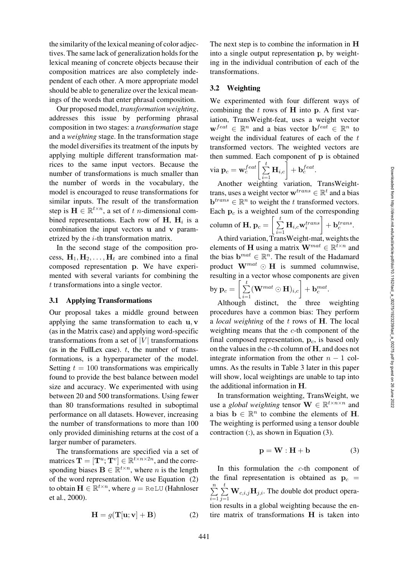the similarity of the lexical meaning of color adjectives. The same lack of generalization holds for the lexical meaning of concrete objects because their composition matrices are also completely independent of each other. A more appropriate model should be able to generalize over the lexical meanings of the words that enter phrasal composition.

Our proposed model, *transformation weighting*, addresses this issue by performing phrasal composition in two stages: a *transformation* stage and a *weighting* stage. In the transformation stage the model diversifies its treatment of the inputs by applying multiple different transformation matrices to the same input vectors. Because the number of transformations is much smaller than the number of words in the vocabulary, the model is encouraged to reuse transformations for similar inputs. The result of the transformation step is  $\mathbf{H} \in \mathbb{R}^{t \times n}$ , a set of t *n*-dimensional combined representations. Each row of  $H$ ,  $H_i$  is a combination the input vectors **u** and **v** parametrized by the i-th transformation matrix.

In the second stage of the composition process,  $H_1, H_2, \ldots, H_t$  are combined into a final composed representation **p**. We have experimented with several variants for combining the t transformations into a single vector.

#### 3.1 Applying Transformations

Our proposal takes a middle ground between applying the same transformation to each **u**, **v** (as in the Matrix case) and applying word-specific transformations from a set of  $|V|$  transformations (as in the FullLex case).  $t$ , the number of transformations, is a hyperparameter of the model. Setting  $t = 100$  transformations was empirically found to provide the best balance between model size and accuracy. We experimented with using between 20 and 500 transformations. Using fewer than 80 transformations resulted in suboptimal performance on all datasets. However, increasing the number of transformations to more than 100 only provided diminishing returns at the cost of a larger number of parameters.

The transformations are specified via a set of matrices  $\mathbf{T} = [\mathbf{T}^u; \mathbf{T}^v] \in \mathbb{R}^{t \times n \times 2n}$ , and the corresponding biases  $\mathbf{B} \in \mathbb{R}^{t \times n}$ , where *n* is the length of the word representation. We use Equation [\(2\)](#page-4-0) to obtain  $\mathbf{H} \in \mathbb{R}^{t \times n}$ [, where](#page-12-7)  $q = \text{ReLU}$  (Hahnloser et al., [2000\)](#page-12-7).

<span id="page-4-0"></span>
$$
\mathbf{H} = g(\mathbf{T}[\mathbf{u}; \mathbf{v}] + \mathbf{B}) \tag{2}
$$

The next step is to combine the information in **H** into a single output representation **p**, by weighting in the individual contribution of each of the transformations.

### <span id="page-4-2"></span>3.2 Weighting

We experimented with four different ways of combining the t rows of **H** into **p**. A first variation, TransWeight-feat, uses a weight vector  $\mathbf{w}^{feat} \in \mathbb{R}^n$  and a bias vector  $\mathbf{b}^{feat} \in \mathbb{R}^n$  to weight the individual features of each of the  $t$ transformed vectors. The weighted vectors are then summed. Each component of **p** is obtained via  $\mathbf{p}_c = \mathbf{w}_c^{feat} \left[ \sum_{c}^{t}$ t  $i=1$  $\left[\mathbf{H}_{i,c}\right] + \mathbf{b}_c^{feat}.$ 

Another weighting variation, TransWeighttrans, uses a weight vector  $\mathbf{w}^{trans} \in \mathbb{R}^t$  and a bias  $\mathbf{b}^{trans} \in \mathbb{R}^n$  to weight the t transformed vectors. Each  $\mathbf{p}_c$  is a weighted sum of the corresponding column of **H**,  $\mathbf{p}_c = \left[ \sum_{i=1}^{t} \right]$ t  $\frac{i=1}{i}$  $\mathbf{H}_{i,c}\mathbf{w}_i^{trans}$  $\Big] + \mathbf{b}_c^{trans}.$ 

A third variation, TransWeight-mat, weights the elements of **H** using a matrix  $\mathbf{W}^{mat} \in \mathbb{R}^{t \times n}$  and the bias  $\mathbf{b}^{mat} \in \mathbb{R}^n$ . The result of the Hadamard product  $W^{mat} \odot H$  is summed columnwise, resulting in a vector whose components are given  $\int \frac{t}{2}$  $(\mathbf{W}^{mat} \odot \mathbf{H})_{i,c}$ 

by 
$$
\mathbf{p}_c = \left[ \sum_{i=1}^{\infty} (\mathbf{W}^{mat} \odot \mathbf{H})_{i,c} \right] + \mathbf{b}_c^{mat}
$$
.

Although distinct, the three weighting procedures have a common bias: They perform a *local weighting* of the t rows of **H**. The local weighting means that the c-th component of the final composed representation,  $\mathbf{p}_c$ , is based only on the values in the c-th column of **H**, and does not integrate information from the other  $n - 1$  columns. As the results in [Table 3](#page-8-1) later in this paper will show, local weightings are unable to tap into the additional information in **H**.

In transformation weighting, TransWeight, we use a *global weighting* tensor  $\mathbf{W} \in \mathbb{R}^{t \times n \times n}$  and a bias  $\mathbf{b} \in \mathbb{R}^n$  to combine the elements of **H**. The weighting is performed using a tensor double contraction (:), as shown in Equation [\(3\)](#page-4-1).

<span id="page-4-1"></span>
$$
\mathbf{p} = \mathbf{W} : \mathbf{H} + \mathbf{b} \tag{3}
$$

In this formulation the  $c$ -th component of the final representation is obtained as  $\mathbf{p}_c$  =  $\sum_{n=1}^{\infty}$  $i=1$  $\sum$ t  $j=1$  $\mathbf{W}_{c,i,j}$ **H**<sub>j,i</sub>. The double dot product operation results in a global weighting because the entire matrix of transformations **H** is taken into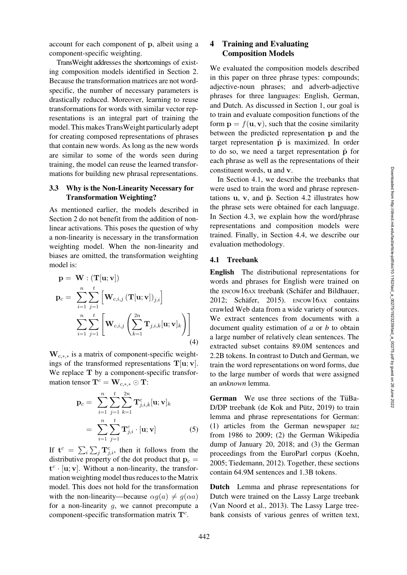account for each component of **p**, albeit using a component-specific weighting.

TransWeight addresses the shortcomings of existing composition models identified in Section [2.](#page-1-2) Because the transformation matrices are not wordspecific, the number of necessary parameters is drastically reduced. Moreover, learning to reuse transformations for words with similar vector representations is an integral part of training the model. This makes TransWeight particularly adept for creating composed representations of phrases that contain new words. As long as the new words are similar to some of the words seen during training, the model can reuse the learned transformations for building new phrasal representations.

### 3.3 Why is the Non-Linearity Necessary for Transformation Weighting?

As mentioned earlier, the models described in Section [2](#page-1-2) do not benefit from the addition of nonlinear activations. This poses the question of why a non-linearity is necessary in the transformation weighting model. When the non-linearity and biases are omitted, the transformation weighting model is:

$$
\mathbf{p} = \mathbf{W} : (\mathbf{T}[\mathbf{u}; \mathbf{v}])
$$
  
\n
$$
\mathbf{p}_c = \sum_{i=1}^n \sum_{j=1}^t \left[ \mathbf{W}_{c,i,j} \left( \mathbf{T}[\mathbf{u}; \mathbf{v}] \right)_{j,i} \right]
$$
  
\n
$$
\sum_{i=1}^n \sum_{j=1}^t \left[ \mathbf{W}_{c,i,j} \left( \sum_{k=1}^{2n} \mathbf{T}_{j,i,k}[\mathbf{u}; \mathbf{v}]_k \right) \right]
$$
  
\n(4)

**W**c,∗,<sup>∗</sup> is a matrix of component-specific weightings of the transformed representations  $T[u; v]$ . We replace **T** by a component-specific transformation tensor  $T^c = W_{c,*,*} \odot T$ :

$$
\mathbf{p}_c = \sum_{i=1}^n \sum_{j=1}^t \sum_{k=1}^{2n} \mathbf{T}_{j,i,k}^c[\mathbf{u}; \mathbf{v}]_k
$$

$$
= \sum_{i=1}^n \sum_{j=1}^t \mathbf{T}_{j,i}^c \cdot [\mathbf{u}; \mathbf{v}]
$$
(5)

If  $\mathbf{t}^c = \sum_i \sum_j \mathbf{T}_{j,i}^c$ , then it follows from the distributive property of the dot product that  $\mathbf{p}_c =$  $\mathbf{t}^c \cdot [\mathbf{u}; \mathbf{v}]$ . Without a non-linearity, the transformation weighting model thus reduces to the Matrix model. This does not hold for the transformation with the non-linearity—because  $\alpha g(a) \neq g(\alpha a)$ for a non-linearity  $q$ , we cannot precompute a component-specific transformation matrix **T**c.

## 4 Training and Evaluating Composition Models

We evaluated the composition models described in this paper on three phrase types: compounds; adjective-noun phrases; and adverb-adjective phrases for three languages: English, German, and Dutch. As discussed in Section [1,](#page-0-0) our goal is to train and evaluate composition functions of the form  $\mathbf{p} = f(\mathbf{u}, \mathbf{v})$ , such that the cosine similarity between the predicted representation **p** and the target representation  $\tilde{p}$  is maximized. In order to do so, we need a target representation  $\tilde{p}$  for each phrase as well as the representations of their constituent words, **u** and **v**.

In Section [4.1,](#page-5-0) we describe the treebanks that were used to train the word and phrase representations  $\bf{u}$ ,  $\bf{v}$ , and  $\tilde{\bf{p}}$ . Section [4.2](#page-6-0) illustrates how the phrase sets were obtained for each language. In Section [4.3,](#page-6-1) we explain how the word/phrase representations and composition models were trained. Finally, in Section [4.4,](#page-7-0) we describe our evaluation methodology.

#### <span id="page-5-0"></span>4.1 Treebank

English The distributional representations for words and phrases for English were trained on the ENCOW16AX treebank (Schäfer and Bildhauer, [2012](#page-13-9); Schäfer, [2015\)](#page-13-10). ENCOW16AX contains crawled Web data from a wide variety of sources. We extract sentences from documents with a document quality estimation of *a* or *b* to obtain a large number of relatively clean sentences. The extracted subset contains 89.0M sentences and 2.2B tokens. In contrast to Dutch and German, we train the word representations on word forms, due to the large number of words that were assigned an *unknown* lemma.

German We use three sections of the TüBa-D/DP treebank (de Kok and Pütz, [2019\)](#page-13-11) to train lemma and phrase representations for German: (1) articles from the German newspaper *taz* from 1986 to 2009; (2) the German Wikipedia dump of January 20, 2018; and (3) the German proceedings from the EuroParl corpus [\(Koehn,](#page-13-12) [2005](#page-13-12); [Tiedemann](#page-14-0), [2012](#page-14-0)). Together, these sections contain 64.9M sentences and 1.3B tokens.

Dutch Lemma and phrase representations for Dutch were trained on the Lassy Large treebank [\(Van Noord et al.](#page-14-1), [2013\)](#page-14-1). The Lassy Large treebank consists of various genres of written text,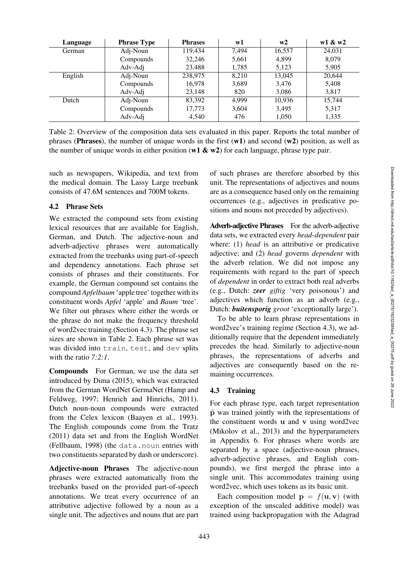| Language | <b>Phrase Type</b> | <b>Phrases</b> | w1    | w2     | w1 & w2 |
|----------|--------------------|----------------|-------|--------|---------|
| German   | Adj-Noun           | 119,434        | 7.494 | 16,557 | 24,031  |
|          | Compounds          | 32,246         | 5,661 | 4,899  | 8,079   |
|          | Adv-Adj            | 23,488         | 1,785 | 5,123  | 5,905   |
| English  | Adj-Noun           | 238,975        | 8,210 | 13,045 | 20,644  |
|          | Compounds          | 16,978         | 3,689 | 3,476  | 5,408   |
|          | Adv-Adj            | 23,148         | 820   | 3,086  | 3,817   |
| Dutch    | Adj-Noun           | 83,392         | 4.999 | 10,936 | 15,744  |
|          | Compounds          | 17,773         | 3,604 | 3,495  | 5,317   |
|          | Adv-Adj            | 4.540          | 476   | 1,050  | 1,335   |

<span id="page-6-2"></span>Table 2: Overview of the composition data sets evaluated in this paper. Reports the total number of phrases (Phrases), the number of unique words in the first  $(w1)$  and second  $(w2)$  position, as well as the number of unique words in either position (w1  $\&$  w2) for each language, phrase type pair.

such as newspapers, Wikipedia, and text from the medical domain. The Lassy Large treebank consists of 47.6M sentences and 700M tokens.

## <span id="page-6-0"></span>4.2 Phrase Sets

We extracted the compound sets from existing lexical resources that are available for English, German, and Dutch. The adjective-noun and adverb-adjective phrases were automatically extracted from the treebanks using part-of-speech and dependency annotations. Each phrase set consists of phrases and their constituents. For example, the German compound set contains the compound *Apfelbaum* 'apple tree' together with its constituent words *Apfel* 'apple' and *Baum* 'tree'. We filter out phrases where either the words or the phrase do not make the frequency threshold of word2vec training (Section [4.3\)](#page-6-1). The phrase set sizes are shown in [Table 2.](#page-6-2) Each phrase set was was divided into train, test, and dev splits with the ratio *7:2:1*.

Compounds For German, we use the data set introduced by [Dima](#page-12-1) [\(2015\)](#page-12-1), which was extracted from the [German WordNet GermaNet \(](#page-12-8)Hamp and Feldweg, [1997](#page-12-8); [Henrich and Hinrichs, 2011\)](#page-12-9). Dutch noun-noun compounds were extracted from the Celex lexicon [\(Baayen et al., 1993\)](#page-12-10). The English compounds come from the [Tratz](#page-14-2) [\(2011\)](#page-14-2) data set and from the English WordNet [\(Fellbaum](#page-12-11), [1998\)](#page-12-11) (the data.noun entries with two constituents separated by dash or underscore).

Adjective-noun Phrases The adjective-noun phrases were extracted automatically from the treebanks based on the provided part-of-speech annotations. We treat every occurrence of an attributive adjective followed by a noun as a single unit. The adjectives and nouns that are part of such phrases are therefore absorbed by this unit. The representations of adjectives and nouns are as a consequence based only on the remaining occurrences (e.g., adjectives in predicative positions and nouns not preceded by adjectives).

Adverb-adjective Phrases For the adverb-adjective data sets, we extracted every *head*-*dependent* pair where: (1) *head* is an attributive or predicative adjective; and (2) *head* governs *dependent* with the adverb relation. We did not impose any requirements with regard to the part of speech of *dependent* in order to extract both real adverbs (e.g., Dutch: *zeer giftig* 'very poisonous') and adjectives which function as an adverb (e.g., Dutch: *buitensporig groot* 'exceptionally large').

To be able to learn phrase representations in word2vec's training regime (Section [4.3\)](#page-6-1), we additionally require that the dependent immediately precedes the head. Similarly to adjective-noun phrases, the representations of adverbs and adjectives are consequently based on the remaining occurrences.

## <span id="page-6-1"></span>4.3 Training

For each phrase type, each target representation  $\tilde{p}$  was trained jointly with the representations of the constituent words **u** and **v** using word2vec [\(Mikolov et al.](#page-13-0), [2013\)](#page-13-0) and the hyperparameters in Appendix [6.](#page-14-3) For phrases where words are separated by a space (adjective-noun phrases, adverb-adjective phrases, and English compounds), we first merged the phrase into a single unit. This accommodates training using word2vec, which uses tokens as its basic unit.

Each composition model  $\mathbf{p} = f(\mathbf{u}, \mathbf{v})$  (with exception of the unscaled additive model) was trained using backpropagation with the Adagrad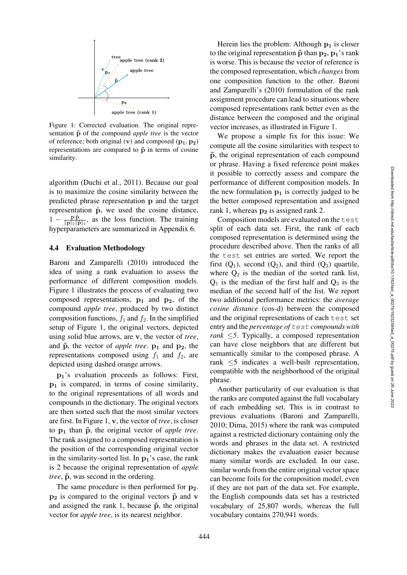

<span id="page-7-1"></span>Figure 1: Corrected evaluation. The original representation  $\tilde{p}$  of the compound *apple tree* is the vector of reference; both original (**v**) and composed  $(\mathbf{p}_1, \mathbf{p}_2)$ representations are compared to  $\tilde{p}$  in terms of cosine similarity.

algorithm [\(Duchi et al., 2011\)](#page-12-12). Because our goal is to maximize the cosine similarity between the predicted phrase representation **p** and the target representation  $\tilde{p}$ , we used the cosine distance,  $1 - \frac{\mathbf{p} \cdot \tilde{\mathbf{p}}}{\|\mathbf{p}\|_2 \|\tilde{\mathbf{p}}\|_2}$ , as the loss function. The training hyperparameters are summarized in Appendix [6.](#page-14-4)

#### <span id="page-7-0"></span>4.4 Evaluation Methodology

Baroni and Zamparelli [\(2010](#page-12-4)) introduced the idea of using a rank evaluation to assess the performance of different composition models. [Figure 1](#page-7-1) illustrates the process of evaluating two composed representations, **p1** and **p2**, of the compound *apple tree*, produced by two distinct composition functions,  $f_1$  and  $f_2$ . In the simplified setup of [Figure 1,](#page-7-1) the original vectors, depicted using solid blue arrows, are **v**, the vector of *tree*, and  $\tilde{p}$ , the vector of *apple tree*.  $p_1$  and  $p_2$ , the representations composed using  $f_1$  and  $f_2$ , are depicted using dashed orange arrows.

**p1**'s evaluation proceeds as follows: First, **p1** is compared, in terms of cosine similarity, to the original representations of all words and compounds in the dictionary. The original vectors are then sorted such that the most similar vectors are first. In [Figure 1,](#page-7-1) **v**, the vector of *tree*, is closer to  $p_1$  than  $\tilde{p}$ , the original vector of *apple tree*. The rank assigned to a composed representation is the position of the corresponding original vector in the similarity-sorted list. In  $p_1$ 's case, the rank is 2 because the original representation of *apple tree*,  $\tilde{p}$ , was second in the ordering.

The same procedure is then performed for **p2**.  $p_2$  is compared to the original vectors  $\tilde{p}$  and **v** and assigned the rank 1, because  $\tilde{p}$ , the original vector for *apple tree*, is its nearest neighbor.

Herein lies the problem: Although  $p_1$  is closer to the original representation  $\tilde{p}$  than  $p_2$ ,  $p_1$ 's rank is worse. This is because the vector of reference is the composed representation, which *changes* from one composition function to the other. Baroni and Zamparelli's [\(2010\)](#page-12-4) formulation of the rank assignment procedure can lead to situations where composed representations rank better even as the distance between the composed and the original vector increases, as illustrated in [Figure 1.](#page-7-1)

We propose a simple fix for this issue: We compute all the cosine similarities with respect to  $\tilde{p}$ , the original representation of each compound or phrase. Having a fixed reference point makes it possible to correctly assess and compare the performance of different composition models. In the new formulation  $p_1$  is correctly judged to be the better composed representation and assigned rank 1, whereas  $p_2$  is assigned rank 2.

Composition models are evaluated on the test split of each data set. First, the rank of each composed representation is determined using the procedure described above. Then the ranks of all the test set entries are sorted. We report the first  $(Q_1)$ , second  $(Q_2)$ , and third  $(Q_3)$  quartile, where  $Q_2$  is the median of the sorted rank list,  $Q_1$  is the median of the first half and  $Q_3$  is the median of the second half of the list. We report two additional performance metrics: the *average cosine distance* (cos-d) between the composed and the original representations of each test set entry and the *percentage of* test *compounds with rank*  $\leq$ 5. Typically, a composed representation can have close neighbors that are different but semantically similar to the composed phrase. A rank ≤5 indicates a well-built representation, compatible with the neighborhood of the original phrase.

Another particularity of our evaluation is that the ranks are computed against the full vocabulary of each embedding set. This is in contrast to previous evaluations [\(Baroni and Zamparelli,](#page-12-4) [2010](#page-12-4); [Dima, 2015](#page-12-1)) where the rank was computed against a restricted dictionary containing only the words and phrases in the data set. A restricted dictionary makes the evaluation easier because many similar words are excluded. In our case, similar words from the entire original vector space can become foils for the composition model, even if they are not part of the data set. For example, the English compounds data set has a restricted vocabulary of 25,807 words, whereas the full vocabulary contains 270,941 words.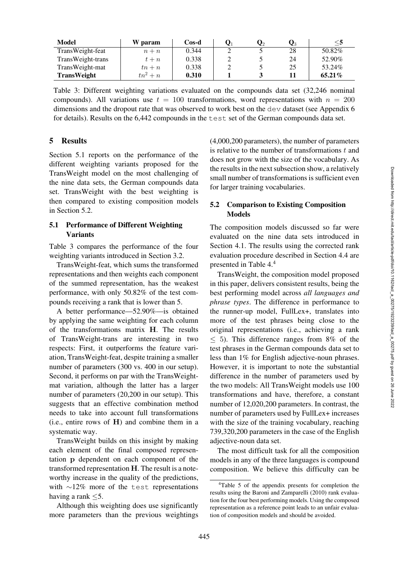| Model              | W param    | Cos-d | V2 | $\mathbf{Q}_3$ |           |
|--------------------|------------|-------|----|----------------|-----------|
| TransWeight-feat   | $n + n$    | 0.344 |    | 28             | 50.82\%   |
| TransWeight-trans  | $t + n$    | 0.338 |    | 24             | 52.90%    |
| TransWeight-mat    | $tn + n$   | 0.338 |    | 25             | 53.24%    |
| <b>TransWeight</b> | $tn^2 + n$ | 0.310 |    |                | $65.21\%$ |

<span id="page-8-1"></span>Table 3: Different weighting variations evaluated on the compounds data set (32,246 nominal compounds). All variations use  $t = 100$  transformations, word representations with  $n = 200$ dimensions and the dropout rate that was observed to work best on the dev dataset (see Appendix [6](#page-14-4) for details). Results on the 6,442 compounds in the test set of the German compounds data set.

## <span id="page-8-0"></span>5 Results

Section [5.1](#page-8-2) reports on the performance of the different weighting variants proposed for the TransWeight model on the most challenging of the nine data sets, the German compounds data set. TransWeight with the best weighting is then compared to existing composition models in Section [5.2.](#page-8-3)

## <span id="page-8-2"></span>5.1 Performance of Different Weighting Variants

[Table 3](#page-8-1) compares the performance of the four weighting variants introduced in Section [3.2.](#page-4-2)

TransWeight-feat, which sums the transformed representations and then weights each component of the summed representation, has the weakest performance, with only 50.82% of the test compounds receiving a rank that is lower than 5.

A better performance—52.90%—is obtained by applying the same weighting for each column of the transformations matrix **H**. The results of TransWeight-trans are interesting in two respects: First, it outperforms the feature variation, TransWeight-feat, despite training a smaller number of parameters (300 vs. 400 in our setup). Second, it performs on par with the TransWeightmat variation, although the latter has a larger number of parameters (20,200 in our setup). This suggests that an effective combination method needs to take into account full transformations (i.e., entire rows of **H**) and combine them in a systematic way.

TransWeight builds on this insight by making each element of the final composed representation **p** dependent on each component of the transformed representation **H**. The result is a noteworthy increase in the quality of the predictions, with  $\sim$ 12% more of the test representations having a rank  $\leq$ 5.

Although this weighting does use significantly more parameters than the previous weightings (4,000,200 parameters), the number of parameters is relative to the number of transformations  $t$  and does not grow with the size of the vocabulary. As the results in the next subsection show, a relatively small number of transformations is sufficient even for larger training vocabularies.

## <span id="page-8-3"></span>5.2 Comparison to Existing Composition Models

The composition models discussed so far were evaluated on the nine data sets introduced in Section [4.1.](#page-5-0) The results using the corrected rank evaluation procedure described in Section [4.4](#page-7-0) are presented in [Table 4.](#page-9-0)[4](#page-8-4)

TransWeight, the composition model proposed in this paper, delivers consistent results, being the best performing model across *all languages and phrase types*. The difference in performance to the runner-up model, FullLex+, translates into more of the test phrases being close to the original representations (i.e., achieving a rank  $\leq$  5). This difference ranges from 8% of the test phrases in the German compounds data set to less than 1% for English adjective-noun phrases. However, it is important to note the substantial difference in the number of parameters used by the two models: All TransWeight models use 100 transformations and have, therefore, a constant number of 12,020,200 parameters. In contrast, the number of parameters used by FullLex+ increases with the size of the training vocabulary, reaching 739,320,200 parameters in the case of the English adjective-noun data set.

The most difficult task for all the composition models in any of the three languages is compound composition. We believe this difficulty can be

<span id="page-8-4"></span>[<sup>4</sup>Table 5](#page-9-1) of the appendix presents for completion the results using the [Baroni and Zamparelli](#page-12-4) [\(2010\)](#page-12-4) rank evaluation for the four best performing models. Using the composed representation as a reference point leads to an unfair evaluation of composition models and should be avoided.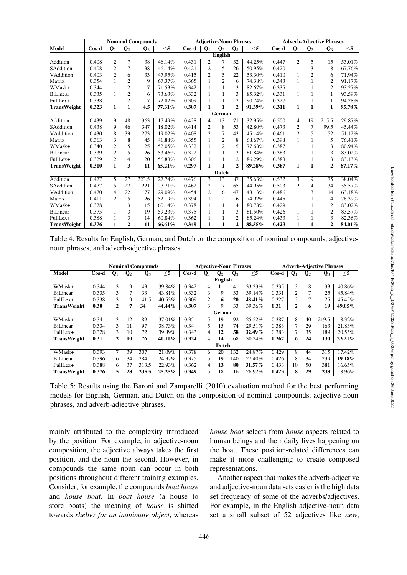|                    |         | <b>Nominal Compounds</b> |                         |                |          |         | <b>Adjective-Noun Phrases</b> |                |                 |          |         | <b>Adverb-Adjective Phrases</b> |                |                 |          |
|--------------------|---------|--------------------------|-------------------------|----------------|----------|---------|-------------------------------|----------------|-----------------|----------|---------|---------------------------------|----------------|-----------------|----------|
| Model              | $Cos-d$ | $Q_1$                    | $\mathbf{Q}_2$          | $\mathbf{Q}_3$ | $\leq$ 5 | $Cos-d$ | $\mathbf{Q}_1$                | $\mathbf{Q}_2$ | $\mathbf{Q}_3$  | $\leq$ 5 | $Cos-d$ | $Q_1$                           | $\mathbf{Q}_2$ | $\mathbf{Q}_3$  | $\leq$ 5 |
|                    |         |                          |                         |                |          |         |                               | <b>English</b> |                 |          |         |                                 |                |                 |          |
| <b>Addition</b>    | 0.408   | $\overline{2}$           | 7                       | 38             | 46.14%   | 0.431   | 2                             | 7              | $\overline{32}$ | 44.25%   | 0.447   | $\overline{c}$                  | 5              | $\overline{15}$ | 53.01%   |
| SAddition          | 0.408   | $\overline{2}$           | 7                       | 38             | 46.14%   | 0.421   | $\overline{c}$                | 5              | 26              | 50.95%   | 0.420   | 1                               | 3              | 8               | 67.76%   |
| VAddition          | 0.403   | $\overline{c}$           | 6                       | 33             | 47.95%   | 0.415   | $\overline{c}$                | 5              | 22              | 53.30%   | 0.410   | 1                               | $\overline{2}$ | 6               | 71.94%   |
| Matrix             | 0.354   |                          | $\overline{c}$          | 9              | 67.37%   | 0.365   |                               | $\overline{c}$ | 6               | 74.38%   | 0.343   |                                 |                | $\overline{2}$  | 91.17%   |
| WMask+             | 0.344   |                          | $\overline{c}$          | 7              | 71.53%   | 0.342   |                               |                | 3               | 82.67%   | 0.335   |                                 |                | $\overline{2}$  | 93.27%   |
| <b>BiLinear</b>    | 0.335   |                          | $\overline{c}$          | 6              | 73.63%   | 0.332   |                               |                | 3               | 85.32%   | 0.331   |                                 |                | 1               | 93.59%   |
| FullLex+           | 0.338   |                          | $\overline{c}$          | 7              | 72.82%   | 0.309   | 1                             |                | $\overline{c}$  | 90.74%   | 0.327   | 1                               | 1              | 1               | 94.28%   |
| <b>TransWeight</b> | 0.323   | 1                        | 1                       | 4.5            | 77.31%   | 0.307   | 1                             | 1              | $\mathbf{2}$    | 91.39%   | 0.311   | 1                               | $\mathbf{1}$   | 1               | 95.78%   |
|                    |         |                          |                         |                |          |         |                               | German         |                 |          |         |                                 |                |                 |          |
| Addition           | 0.439   | 9                        | 48                      | 363            | 17.49%   | 0.428   | $\overline{4}$                | 13             | 71              | 32.95%   | 0.500   | 4                               | 19             | 215.5           | 29.87%   |
| SAddition          | 0.438   | 9                        | 46                      | 347            | 18.02%   | 0.414   | $\overline{2}$                | 8              | 53              | 42.80%   | 0.473   | $\overline{c}$                  | $\tau$         | 99.5            | 45.44%   |
| VAddition          | 0.430   | 8                        | 39                      | 273            | 19.02%   | 0.408   | $\overline{c}$                | 7              | 43              | 45.14%   | 0.461   | $\overline{c}$                  | 5              | 52              | 51.12%   |
| Matrix             | 0.363   | 3                        | 8                       | 45             | 41.88%   | 0.355   | 1                             | $\overline{c}$ | 8               | 68.67%   | 0.398   | $\mathbf{1}$                    |                | 5               | 76.41%   |
| WMask+             | 0.340   | $\overline{c}$           | 5                       | 25             | 52.05%   | 0.332   | 1                             | $\overline{c}$ | 5               | 77.68%   | 0.387   | 1                               |                | 3               | 80.94%   |
| <b>BiLinear</b>    | 0.339   | $\overline{c}$           | 5                       | 26             | 53.46%   | 0.322   | 1                             |                | 3               | 81.84%   | 0.383   | 1                               |                | 3               | 83.02%   |
| FullLex+           | 0.329   | $\overline{c}$           | $\overline{\mathbf{4}}$ | 20             | 56.83%   | 0.306   | 1                             |                | $\overline{c}$  | 86.29%   | 0.383   | 1                               |                | 3               | 83.13%   |
| <b>TransWeight</b> | 0.310   | 1                        | 3                       | 11             | 65.21%   | 0.297   | 1                             | 1              | $\mathbf{2}$    | 89.28%   | 0.367   | 1                               | 1              | 2               | 87.17%   |
|                    |         |                          |                         |                |          |         |                               | Dutch          |                 |          |         |                                 |                |                 |          |
| <b>Addition</b>    | 0.477   | 5                        | 27                      | 223.5          | 27.74%   | 0.476   | 3                             | 13             | 87              | 35.63%   | 0.532   | 3                               | 9              | 75              | 38.04%   |
| SAddition          | 0.477   | 5                        | 27                      | 221            | 27.71%   | 0.462   | $\overline{2}$                | 7              | 65              | 44.95%   | 0.503   | $\overline{2}$                  | 4              | 34              | 55.57%   |
| VAddition          | 0.470   | 4                        | 22                      | 177            | 29.09%   | 0.454   | $\overline{c}$                | 6              | 47              | 48.13%   | 0.486   | $\mathbf{1}$                    | 3              | 14              | 63.18%   |
| Matrix             | 0.411   | $\mathfrak{2}$           | 5                       | 26             | 52.19%   | 0.394   | 1                             | $\overline{2}$ | 6               | 74.92%   | 0.445   | $\mathbf{1}$                    | 1              | 4               | 78.39%   |
| WMask+             | 0.378   |                          | 3                       | 15             | 60.14%   | 0.378   | 1                             | 1              | 4               | 80.78%   | 0.429   | 1                               |                | $\overline{2}$  | 83.02%   |
| <b>BiLinear</b>    | 0.375   |                          | 3                       | 19             | 59.23%   | 0.375   | 1                             |                | 3               | 81.50%   | 0.426   | 1                               |                | $\overline{c}$  | 83.57%   |
| FullLex+           | 0.388   |                          | 3                       | 14             | 60.84%   | 0.362   | 1                             |                | 2               | 85.24%   | 0.433   | 1                               |                | 3               | 82.36%   |
| <b>TransWeight</b> | 0.376   | 1                        | $\overline{2}$          | 11             | 66.61%   | 0.349   | 1                             | 1              | $\mathbf{2}$    | 88.55%   | 0.423   | 1                               | 1              | $\mathbf{2}$    | 84.01%   |

<span id="page-9-0"></span>Table 4: Results for English, German, and Dutch on the composition of nominal compounds, adjectivenoun phrases, and adverb-adjective phrases.

|                    | <b>Nominal Compounds</b> |                |                |                |        |         | <b>Adjective-Noun Phrases</b> |                |                |        |         | <b>Adverb-Adjective Phrases</b> |                |                |          |
|--------------------|--------------------------|----------------|----------------|----------------|--------|---------|-------------------------------|----------------|----------------|--------|---------|---------------------------------|----------------|----------------|----------|
| <b>Model</b>       | $Cos-d$                  | $\mathbf{Q}_1$ | $\mathbf{Q}_2$ | $\mathbf{Q}_3$ | $<$ 5  | $Cos-d$ | $\mathbf{Q}_1$                | $\mathbf{Q}_2$ | $\mathbf{Q}_3$ | $<$ 5  | $Cos-d$ | $\mathbf{Q}_1$                  | $\mathbf{Q}_2$ | $\mathbf{Q}_3$ | $\leq$ 5 |
|                    | <b>English</b>           |                |                |                |        |         |                               |                |                |        |         |                                 |                |                |          |
| WMask+             | 0.344                    | 3              | 9              | 43             | 39.84% | 0.342   | 4                             | 11             | 41             | 33.23% | 0.335   | 3                               | 8              | 33             | 40.86%   |
| BiLinear           | 0.335                    | 3              | 7              | 33             | 43.81% | 0.332   | 3                             | 9              | 33             | 39.14% | 0.331   | $\overline{c}$                  |                | 25             | 45.84%   |
| $Fulllex+$         | 0.338                    | 3              | 9              | 41.5           | 40.53% | 0.309   | 2                             | 6              | 20             | 48.41% | 0.327   | $\overline{c}$                  |                | 25             | 45.45%   |
| <b>TransWeight</b> | 0.30                     | 2              | 7              | 34             | 44.44% | 0.307   | 3                             | 9              | 33             | 39.36% | 0.31    | 2                               | 6              | 19             | 49.05%   |
|                    | German                   |                |                |                |        |         |                               |                |                |        |         |                                 |                |                |          |
| WMask+             | 0.34                     | 3              | 12             | 89             | 37.01% | 0.35    | 5                             | 19             | 92             | 25.52% | 0.387   | 8                               | 40             | 219.5          | 18.32%   |
| <b>BiLinear</b>    | 0.334                    | 3              | 11             | 97             | 38.73% | 0.34    | 5                             | 15             | 74             | 29.51% | 0.383   |                                 | 29             | 163            | 21.83%   |
| FullLex+           | 0.328                    | 3              | 10             | 72             | 39.89% | 0.343   | 4                             | 12             | 58             | 32.49% | 0.383   |                                 | 35             | 189            | 20.55%   |
| <b>TransWeight</b> | 0.31                     | 2              | 10             | 76             | 40.10% | 0.324   | 4                             | 14             | 68             | 30.24% | 0.367   | 6                               | 24             | 130            | 23.21%   |
|                    |                          |                |                |                |        |         |                               | Dutch          |                |        |         |                                 |                |                |          |
| WMask+             | 0.393                    | 7              | 39             | 307            | 21.09% | 0.378   | 6                             | 20             | 132            | 24.87% | 0.429   | 9                               | 44             | 315            | 17.42%   |
| <b>BiLinear</b>    | 0.396                    | 6              | 34             | 284            | 24.37% | 0.375   | 5                             | 19             | 140            | 27.40% | 0.426   | 8                               | 34             | 239            | 19.18%   |
| FullLex+           | 0.388                    | 6              | 37             | 313.5          | 22.93% | 0.362   | 4                             | 13             | 80             | 31.57% | 0.433   | 10                              | 50             | 381            | 16.65%   |
| <b>TransWeight</b> | 0.376                    | 5              | 28             | 235.5          | 25.25% | 0.349   | 5                             | 18             | 16             | 26.92% | 0.423   | 8                               | 29             | 238            | 18.96%   |

<span id="page-9-1"></span>Table 5: Results using the [Baroni and Zamparelli](#page-12-4) [\(2010](#page-12-4)) evaluation method for the best performing models for English, German, and Dutch on the composition of nominal compounds, adjective-noun phrases, and adverb-adjective phrases.

mainly attributed to the complexity introduced by the position. For example, in adjective-noun composition, the adjective always takes the first position, and the noun the second. However, in compounds the same noun can occur in both positions throughout different training examples. Consider, for example, the compounds *boat house* and *house boat*. In *boat house* (a house to store boats) the meaning of *house* is shifted towards *shelter for an inanimate object*, whereas *house boat* selects from *house* aspects related to human beings and their daily lives happening on the boat. These position-related differences can make it more challenging to create composed representations.

Another aspect that makes the adverb-adjective and adjective-noun data sets easier is the high data set frequency of some of the adverbs/adjectives. For example, in the English adjective-noun data set a small subset of 52 adjectives like *new*,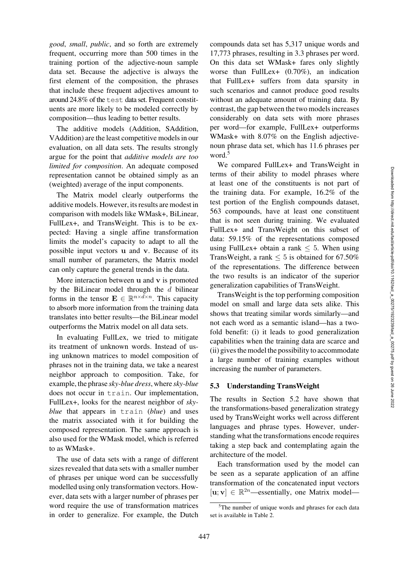*good*, *small*, *public*, and so forth are extremely frequent, occurring more than 500 times in the training portion of the adjective-noun sample data set. Because the adjective is always the first element of the composition, the phrases that include these frequent adjectives amount to around 24.8% of the test data set. Frequent constituents are more likely to be modeled correctly by composition—thus leading to better results.

The additive models (Addition, SAddition, VAddition) are the least competitive models in our evaluation, on all data sets. The results strongly argue for the point that *additive models are too limited for composition*. An adequate composed representation cannot be obtained simply as an (weighted) average of the input components.

The Matrix model clearly outperforms the additive models. However, its results are modest in comparison with models like WMask+, BiLinear, FullLex+, and TransWeight. This is to be expected: Having a single affine transformation limits the model's capacity to adapt to all the possible input vectors **u** and **v**. Because of its small number of parameters, the Matrix model can only capture the general trends in the data.

More interaction between **u** and **v** is promoted by the BiLinear model through the  $d$  bilinear forms in the tensor  $\mathbf{E} \in \mathbb{R}^{n \times d \times n}$ . This capacity to absorb more information from the training data translates into better results—the BiLinear model outperforms the Matrix model on all data sets.

In evaluating FullLex, we tried to mitigate its treatment of unknown words. Instead of using unknown matrices to model composition of phrases not in the training data, we take a nearest neighbor approach to composition. Take, for example, the phrase *sky-blue dress*, where *sky-blue* does not occur in train. Our implementation, FullLex+, looks for the nearest neighbor of *skyblue* that appears in train (*blue*) and uses the matrix associated with it for building the composed representation. The same approach is also used for the WMask model, which is referred to as WMask+.

The use of data sets with a range of different sizes revealed that data sets with a smaller number of phrases per unique word can be successfully modelled using only transformation vectors. However, data sets with a larger number of phrases per word require the use of transformation matrices in order to generalize. For example, the Dutch compounds data set has 5,317 unique words and 17,773 phrases, resulting in 3.3 phrases per word. On this data set WMask+ fares only slightly worse than FullLex+ (0.70%), an indication that FullLex+ suffers from data sparsity in such scenarios and cannot produce good results without an adequate amount of training data. By contrast, the gap between the two models increases considerably on data sets with more phrases per word—for example, FullLex+ outperforms WMask+ with 8.07% on the English adjectivenoun phrase data set, which has 11.6 phrases per word.<sup>[5](#page-10-0)</sup>

We compared FullLex+ and TransWeight in terms of their ability to model phrases where at least one of the constituents is not part of the training data. For example, 16.2% of the test portion of the English compounds dataset, 563 compounds, have at least one constituent that is not seen during training. We evaluated FullLex+ and TransWeight on this subset of data: 59.15% of the representations composed using FullLex+ obtain a rank  $\leq 5$ . When using TransWeight, a rank  $\leq 5$  is obtained for 67.50% of the representations. The difference between the two results is an indicator of the superior generalization capabilities of TransWeight.

TransWeight is the top performing composition model on small and large data sets alike. This shows that treating similar words similarly—and not each word as a semantic island—has a twofold benefit: (i) it leads to good generalization capabilities when the training data are scarce and (ii) gives the model the possibility to accommodate a large number of training examples without increasing the number of parameters.

#### 5.3 Understanding TransWeight

The results in Section [5.2](#page-8-3) have shown that the transformations-based generalization strategy used by TransWeight works well across different languages and phrase types. However, understanding what the transformations encode requires taking a step back and contemplating again the architecture of the model.

Each transformation used by the model can be seen as a separate application of an affine transformation of the concatenated input vectors  $[\mathbf{u}; \mathbf{v}] \in \mathbb{R}^{2n}$ —essentially, one Matrix model—

<span id="page-10-0"></span><sup>5</sup>The number of unique words and phrases for each data set is available in [Table 2.](#page-6-2)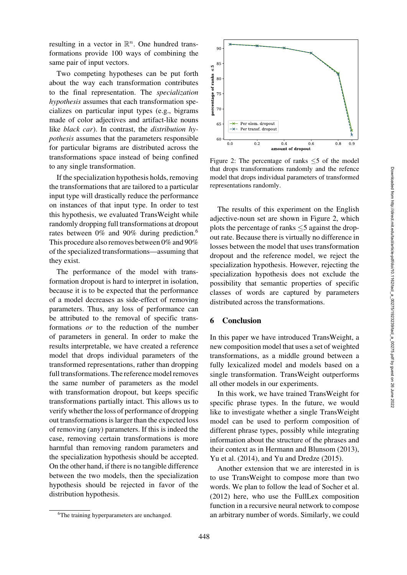resulting in a vector in  $\mathbb{R}^n$ . One hundred transformations provide 100 ways of combining the same pair of input vectors.

Two competing hypotheses can be put forth about the way each transformation contributes to the final representation. The *specialization hypothesis* assumes that each transformation specializes on particular input types (e.g., bigrams made of color adjectives and artifact-like nouns like *black car*). In contrast, the *distribution hypothesis* assumes that the parameters responsible for particular bigrams are distributed across the transformations space instead of being confined to any single transformation.

If the specialization hypothesis holds, removing the transformations that are tailored to a particular input type will drastically reduce the performance on instances of that input type. In order to test this hypothesis, we evaluated TransWeight while randomly dropping full transformations at dropout rates between 0% and 90% during prediction.<sup>6</sup> This procedure also removes between 0% and 90% of the specialized transformations—assuming that they exist.

The performance of the model with transformation dropout is hard to interpret in isolation, because it is to be expected that the performance of a model decreases as side-effect of removing parameters. Thus, any loss of performance can be attributed to the removal of specific transformations *or* to the reduction of the number of parameters in general. In order to make the results interpretable, we have created a reference model that drops individual parameters of the transformed representations, rather than dropping full transformations. The reference model removes the same number of parameters as the model with transformation dropout, but keeps specific transformations partially intact. This allows us to verify whether the loss of performance of dropping out transformations is larger than the expected loss of removing (any) parameters. If this is indeed the case, removing certain transformations is more harmful than removing random parameters and the specialization hypothesis should be accepted. On the other hand, if there is no tangible difference between the two models, then the specialization hypothesis should be rejected in favor of the distribution hypothesis.

<span id="page-11-0"></span>



<span id="page-11-1"></span>Figure 2: The percentage of ranks ≤5 of the model that drops transformations randomly and the refence model that drops individual parameters of transformed representations randomly.

The results of this experiment on the English adjective-noun set are shown in [Figure 2,](#page-11-1) which plots the percentage of ranks  $\leq$ 5 against the dropout rate. Because there is virtually no difference in losses between the model that uses transformation dropout and the reference model, we reject the specialization hypothesis. However, rejecting the specialization hypothesis does not exclude the possibility that semantic properties of specific classes of words are captured by parameters distributed across the transformations.

### 6 Conclusion

In this paper we have introduced TransWeight, a new composition model that uses a set of weighted transformations, as a middle ground between a fully lexicalized model and models based on a single transformation. TransWeight outperforms all other models in our experiments.

In this work, we have trained TransWeight for specific phrase types. In the future, we would like to investigate whether a single TransWeight model can be used to perform composition of different phrase types, possibly while integrating information about the structure of the phrases and their context as in [Hermann and Blunsom](#page-13-13) [\(2013](#page-13-13)), [Yu et al.](#page-14-5) [\(2014](#page-14-5)), and [Yu and Dredze](#page-14-6) [\(2015](#page-14-6)).

Another extension that we are interested in is to use TransWeight to compose more than two words. We plan to follow the lead of [Socher et al.](#page-13-3) [\(2012\)](#page-13-3) here, who use the FullLex composition function in a recursive neural network to compose an arbitrary number of words. Similarly, we could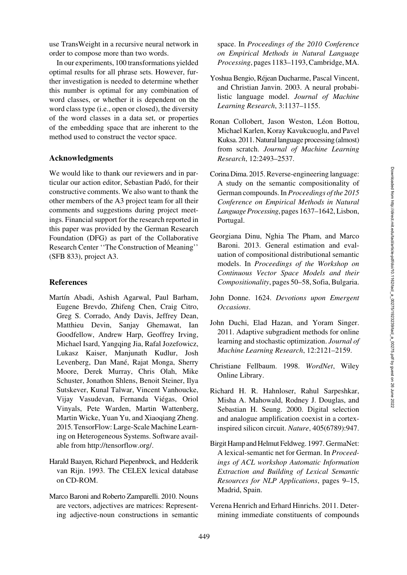use TransWeight in a recursive neural network in order to compose more than two words.

In our experiments, 100 transformations yielded optimal results for all phrase sets. However, further investigation is needed to determine whether this number is optimal for any combination of word classes, or whether it is dependent on the word class type (i.e., open or closed), the diversity of the word classes in a data set, or properties of the embedding space that are inherent to the method used to construct the vector space.

### Acknowledgments

We would like to thank our reviewers and in particular our action editor, Sebastian Pado, for their ´ constructive comments. We also want to thank the other members of the A3 project team for all their comments and suggestions during project meetings. Financial support for the research reported in this paper was provided by the German Research Foundation (DFG) as part of the Collaborative Research Center ''The Construction of Meaning'' (SFB 833), project A3.

## References

- <span id="page-12-6"></span>Martín Abadi, Ashish Agarwal, Paul Barham, Eugene Brevdo, Zhifeng Chen, Craig Citro, Greg S. Corrado, Andy Davis, Jeffrey Dean, Matthieu Devin, Sanjay Ghemawat, Ian Goodfellow, Andrew Harp, Geoffrey Irving, Michael Isard, Yangqing Jia, Rafal Jozefowicz, Lukasz Kaiser, Manjunath Kudlur, Josh Levenberg, Dan Mané, Rajat Monga, Sherry Moore, Derek Murray, Chris Olah, Mike Schuster, Jonathon Shlens, Benoit Steiner, Ilya Sutskever, Kunal Talwar, Vincent Vanhoucke, Vijay Vasudevan, Fernanda Viegas, Oriol ´ Vinyals, Pete Warden, Martin Wattenberg, Martin Wicke, Yuan Yu, and Xiaoqiang Zheng. 2015. TensorFlow: Large-Scale Machine Learning on Heterogeneous Systems. Software available from [http://tensorflow.org/.](http://tensorflow.org/)
- <span id="page-12-10"></span>Harald Baayen, Richard Piepenbrock, and Hedderik van Rijn. 1993. The CELEX lexical database on CD-ROM.
- <span id="page-12-4"></span>Marco Baroni and Roberto Zamparelli. 2010. Nouns are vectors, adjectives are matrices: Representing adjective-noun constructions in semantic

space. In *Proceedings of the 2010 Conference on Empirical Methods in Natural Language Processing*, pages 1183–1193, Cambridge, MA.

- <span id="page-12-2"></span>Yoshua Bengio, Rejean Ducharme, Pascal Vincent, ´ and Christian Janvin. 2003. A neural probabilistic language model. *Journal of Machine Learning Research*, 3:1137–1155.
- <span id="page-12-0"></span>Ronan Collobert, Jason Weston, Léon Bottou, Michael Karlen, Koray Kavukcuoglu, and Pavel Kuksa. 2011. Natural language processing (almost) from scratch. *Journal of Machine Learning Research*, 12:2493–2537.
- <span id="page-12-1"></span>Corina Dima. 2015. Reverse-engineering language: A study on the semantic compositionality of German compounds. In *Proceedings of the 2015 Conference on Empirical Methods in Natural Language Processing*, pages 1637–1642, Lisbon, Portugal.
- <span id="page-12-5"></span>Georgiana Dinu, Nghia The Pham, and Marco Baroni. 2013. General estimation and evaluation of compositional distributional semantic models. In *Proceedings of the Workshop on Continuous Vector Space Models and their Compositionality*, pages 50–58, Sofia, Bulgaria.
- <span id="page-12-3"></span>John Donne. 1624. *Devotions upon Emergent Occasions*.
- <span id="page-12-12"></span>John Duchi, Elad Hazan, and Yoram Singer. 2011. Adaptive subgradient methods for online learning and stochastic optimization. *Journal of Machine Learning Research*, 12:2121–2159.
- <span id="page-12-11"></span>Christiane Fellbaum. 1998. *WordNet*, Wiley Online Library.
- <span id="page-12-7"></span>Richard H. R. Hahnloser, Rahul Sarpeshkar, Misha A. Mahowald, Rodney J. Douglas, and Sebastian H. Seung. 2000. Digital selection and analogue amplification coexist in a cortexinspired silicon circuit. *Nature*, 405(6789):947.
- <span id="page-12-8"></span>Birgit Hamp and Helmut Feldweg. 1997. GermaNet: A lexical-semantic net for German. In *Proceedings of ACL workshop Automatic Information Extraction and Building of Lexical Semantic Resources for NLP Applications*, pages 9–15, Madrid, Spain.
- <span id="page-12-9"></span>Verena Henrich and Erhard Hinrichs. 2011. Determining immediate constituents of compounds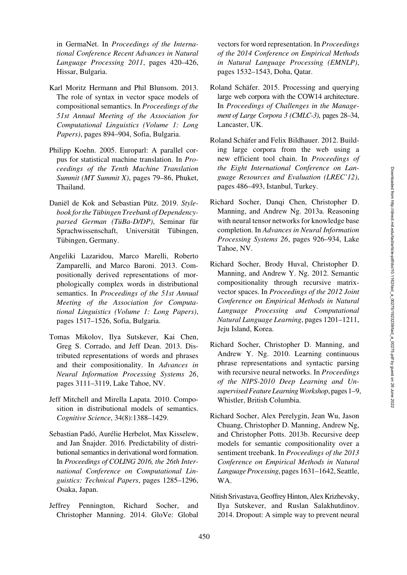in GermaNet. In *Proceedings of the International Conference Recent Advances in Natural Language Processing 2011*, pages 420–426, Hissar, Bulgaria.

- <span id="page-13-13"></span>Karl Moritz Hermann and Phil Blunsom. 2013. The role of syntax in vector space models of compositional semantics. In *Proceedings of the 51st Annual Meeting of the Association for Computational Linguistics (Volume 1: Long Papers)*, pages 894–904, Sofia, Bulgaria.
- <span id="page-13-12"></span>Philipp Koehn. 2005. Europarl: A parallel corpus for statistical machine translation. In *Proceedings of the Tenth Machine Translation Summit (MT Summit X)*, pages 79–86, Phuket, Thailand.
- <span id="page-13-11"></span>Daniël de Kok and Sebastian Pütz. 2019. Style*book for the Tubingen Treebank of Dependency- ¨ parsed German (TüBa-D/DP)*, Seminar für Sprachwissenschaft, Universität Tübingen, Tübingen, Germany.
- <span id="page-13-5"></span>Angeliki Lazaridou, Marco Marelli, Roberto Zamparelli, and Marco Baroni. 2013. Compositionally derived representations of morphologically complex words in distributional semantics. In *Proceedings of the 51st Annual Meeting of the Association for Computational Linguistics (Volume 1: Long Papers)*, pages 1517–1526, Sofia, Bulgaria.
- <span id="page-13-0"></span>Tomas Mikolov, Ilya Sutskever, Kai Chen, Greg S. Corrado, and Jeff Dean. 2013. Distributed representations of words and phrases and their compositionality. In *Advances in Neural Information Processing Systems 26*, pages 3111–3119, Lake Tahoe, NV.
- <span id="page-13-4"></span>Jeff Mitchell and Mirella Lapata. 2010. Composition in distributional models of semantics. *Cognitive Science*, 34(8):1388–1429.
- <span id="page-13-6"></span>Sebastian Padó, Aurélie Herbelot, Max Kisselew, and Jan Šnajder. 2016. Predictability of distributional semantics in derivational word formation. In *Proceedings of COLING 2016, the 26th International Conference on Computational Linguistics: Technical Papers*, pages 1285–1296, Osaka, Japan.
- <span id="page-13-1"></span>Jeffrey Pennington, Richard Socher, and Christopher Manning. 2014. GloVe: Global

vectors for word representation. In *Proceedings of the 2014 Conference on Empirical Methods in Natural Language Processing (EMNLP)*, pages 1532–1543, Doha, Qatar.

- <span id="page-13-10"></span>Roland Schäfer. 2015. Processing and querying large web corpora with the COW14 architecture. In *Proceedings of Challenges in the Management of Large Corpora 3 (CMLC-3)*, pages 28–34, Lancaster, UK.
- <span id="page-13-9"></span>Roland Schafer and Felix Bildhauer. 2012. Build- ¨ ing large corpora from the web using a new efficient tool chain. In *Proceedings of the Eight International Conference on Language Resources and Evaluation (LREC'12)*, pages 486–493, Istanbul, Turkey.
- <span id="page-13-7"></span>Richard Socher, Danqi Chen, Christopher D. Manning, and Andrew Ng. 2013a. Reasoning with neural tensor networks for knowledge base completion. In *Advances in Neural Information Processing Systems 26*, pages 926–934, Lake Tahoe, NV.
- <span id="page-13-3"></span>Richard Socher, Brody Huval, Christopher D. Manning, and Andrew Y. Ng. 2012. Semantic compositionality through recursive matrixvector spaces. In *Proceedings of the 2012 Joint Conference on Empirical Methods in Natural Language Processing and Computational Natural Language Learning*, pages 1201–1211, Jeju Island, Korea.
- <span id="page-13-2"></span>Richard Socher, Christopher D. Manning, and Andrew Y. Ng. 2010. Learning continuous phrase representations and syntactic parsing with recursive neural networks. In *Proceedings of the NIPS-2010 Deep Learning and Unsupervised Feature LearningWorkshop*,pages1–9, Whistler, British Columbia.
- <span id="page-13-8"></span>Richard Socher, Alex Perelygin, Jean Wu, Jason Chuang, Christopher D. Manning, Andrew Ng, and Christopher Potts. 2013b. Recursive deep models for semantic compositionality over a sentiment treebank. In *Proceedings of the 2013 Conference on Empirical Methods in Natural Language Processing*, pages 1631–1642, Seattle, WA.
- <span id="page-13-14"></span>Nitish Srivastava, Geoffrey Hinton, Alex Krizhevsky, Ilya Sutskever, and Ruslan Salakhutdinov. 2014. Dropout: A simple way to prevent neural